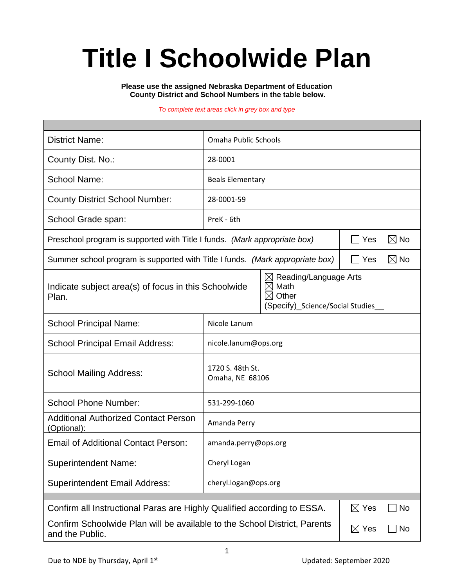# **Title I Schoolwide Plan**

**Please use the assigned Nebraska Department of Education County District and School Numbers in the table below.**

#### *To complete text areas click in grey box and type*

| <b>District Name:</b>                                                                                                 | Omaha Public Schools                             |                                                            |  |  |  |
|-----------------------------------------------------------------------------------------------------------------------|--------------------------------------------------|------------------------------------------------------------|--|--|--|
| County Dist. No.:                                                                                                     | 28-0001                                          |                                                            |  |  |  |
| <b>School Name:</b>                                                                                                   | <b>Beals Elementary</b>                          |                                                            |  |  |  |
| <b>County District School Number:</b>                                                                                 | 28-0001-59                                       |                                                            |  |  |  |
| School Grade span:                                                                                                    | PreK - 6th                                       |                                                            |  |  |  |
| Preschool program is supported with Title I funds. (Mark appropriate box)                                             |                                                  | $\boxtimes$ No<br>Yes                                      |  |  |  |
| Summer school program is supported with Title I funds. (Mark appropriate box)                                         |                                                  | $\boxtimes$ No<br><b>Yes</b>                               |  |  |  |
| Indicate subject area(s) of focus in this Schoolwide<br>Plan.                                                         | $\boxtimes$<br>$\boxtimes$<br>Math<br>Other<br>M | Reading/Language Arts<br>(Specify)_Science/Social Studies_ |  |  |  |
| <b>School Principal Name:</b>                                                                                         | Nicole Lanum                                     |                                                            |  |  |  |
| <b>School Principal Email Address:</b>                                                                                | nicole.lanum@ops.org                             |                                                            |  |  |  |
| <b>School Mailing Address:</b>                                                                                        | 1720 S. 48th St.<br>Omaha, NE 68106              |                                                            |  |  |  |
| <b>School Phone Number:</b>                                                                                           | 531-299-1060                                     |                                                            |  |  |  |
| <b>Additional Authorized Contact Person</b><br>(Optional):                                                            | Amanda Perry                                     |                                                            |  |  |  |
| <b>Email of Additional Contact Person:</b>                                                                            | amanda.perry@ops.org                             |                                                            |  |  |  |
| <b>Superintendent Name:</b>                                                                                           | Cheryl Logan                                     |                                                            |  |  |  |
| <b>Superintendent Email Address:</b>                                                                                  | cheryl.logan@ops.org                             |                                                            |  |  |  |
| Confirm all Instructional Paras are Highly Qualified according to ESSA.<br>$\boxtimes$ Yes<br>No                      |                                                  |                                                            |  |  |  |
| Confirm Schoolwide Plan will be available to the School District, Parents<br>$\boxtimes$ Yes<br>No<br>and the Public. |                                                  |                                                            |  |  |  |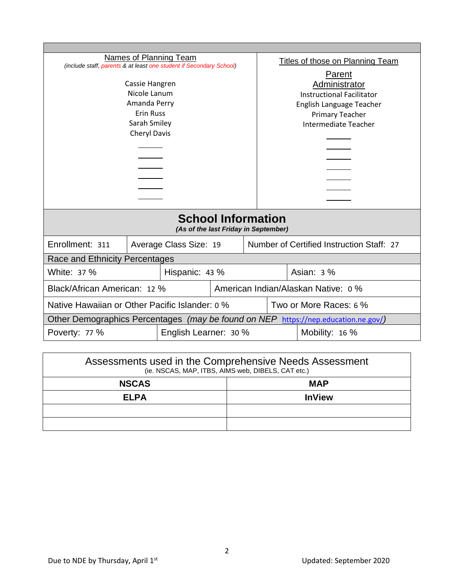| Names of Planning Team<br>(include staff, parents & at least one student if Secondary School) |  |                        | Titles of those on Planning Team |                                     |                                           |  |  |
|-----------------------------------------------------------------------------------------------|--|------------------------|----------------------------------|-------------------------------------|-------------------------------------------|--|--|
|                                                                                               |  |                        |                                  | Parent                              |                                           |  |  |
| Cassie Hangren                                                                                |  |                        |                                  | Administrator                       |                                           |  |  |
| Nicole Lanum                                                                                  |  |                        |                                  | <b>Instructional Facilitator</b>    |                                           |  |  |
| Amanda Perry                                                                                  |  |                        |                                  | English Language Teacher            |                                           |  |  |
| <b>Erin Russ</b>                                                                              |  |                        |                                  | <b>Primary Teacher</b>              |                                           |  |  |
| Sarah Smiley                                                                                  |  |                        |                                  | Intermediate Teacher                |                                           |  |  |
| <b>Cheryl Davis</b>                                                                           |  |                        |                                  |                                     |                                           |  |  |
|                                                                                               |  |                        |                                  |                                     |                                           |  |  |
|                                                                                               |  |                        |                                  |                                     |                                           |  |  |
|                                                                                               |  |                        |                                  |                                     |                                           |  |  |
|                                                                                               |  |                        |                                  |                                     |                                           |  |  |
|                                                                                               |  |                        |                                  |                                     |                                           |  |  |
|                                                                                               |  |                        |                                  |                                     |                                           |  |  |
| <b>School Information</b><br>(As of the last Friday in September)                             |  |                        |                                  |                                     |                                           |  |  |
| Enrollment: 311                                                                               |  | Average Class Size: 19 |                                  |                                     | Number of Certified Instruction Staff: 27 |  |  |
| Race and Ethnicity Percentages                                                                |  |                        |                                  |                                     |                                           |  |  |
| White: 37 %<br>Hispanic: 43 %                                                                 |  |                        |                                  |                                     | Asian: $3\%$                              |  |  |
| Black/African American: 12 %                                                                  |  |                        |                                  | American Indian/Alaskan Native: 0 % |                                           |  |  |
| Native Hawaiian or Other Pacific Islander: 0 %                                                |  |                        |                                  | Two or More Races: 6 %              |                                           |  |  |
| Other Demographics Percentages (may be found on NEP https://nep.education.ne.gov/)            |  |                        |                                  |                                     |                                           |  |  |
| English Learner: 30 %<br>Poverty: 77 %<br>Mobility: $16\%$                                    |  |                        |                                  |                                     |                                           |  |  |

| Assessments used in the Comprehensive Needs Assessment<br>(ie. NSCAS, MAP, ITBS, AIMS web, DIBELS, CAT etc.) |               |  |
|--------------------------------------------------------------------------------------------------------------|---------------|--|
| <b>NSCAS</b>                                                                                                 | <b>MAP</b>    |  |
| <b>ELPA</b>                                                                                                  | <b>InView</b> |  |
|                                                                                                              |               |  |
|                                                                                                              |               |  |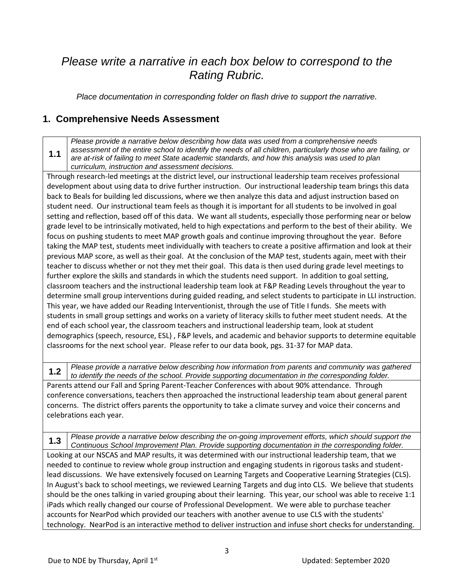## *Please write a narrative in each box below to correspond to the Rating Rubric.*

*Place documentation in corresponding folder on flash drive to support the narrative.*

#### **1. Comprehensive Needs Assessment**

**1.1** *Please provide a narrative below describing how data was used from a comprehensive needs assessment of the entire school to identify the needs of all children, particularly those who are failing, or are at-risk of failing to meet State academic standards, and how this analysis was used to plan curriculum, instruction and assessment decisions.*

Through research-led meetings at the district level, our instructional leadership team receives professional development about using data to drive further instruction. Our instructional leadership team brings this data back to Beals for building led discussions, where we then analyze this data and adjust instruction based on student need. Our instructional team feels as though it is important for all students to be involved in goal setting and reflection, based off of this data. We want all students, especially those performing near or below grade level to be intrinsically motivated, held to high expectations and perform to the best of their ability. We focus on pushing students to meet MAP growth goals and continue improving throughout the year. Before taking the MAP test, students meet individually with teachers to create a positive affirmation and look at their previous MAP score, as well as their goal. At the conclusion of the MAP test, students again, meet with their teacher to discuss whether or not they met their goal. This data is then used during grade level meetings to further explore the skills and standards in which the students need support. In addition to goal setting, classroom teachers and the instructional leadership team look at F&P Reading Levels throughout the year to determine small group interventions during guided reading, and select students to participate in LLI instruction. This year, we have added our Reading Interventionist, through the use of Title I funds. She meets with students in small group settings and works on a variety of literacy skills to futher meet student needs. At the end of each school year, the classroom teachers and instructional leadership team, look at student demographics (speech, resource, ESL) , F&P levels, and academic and behavior supports to determine equitable classrooms for the next school year. Please refer to our data book, pgs. 31-37 for MAP data.

**1.2** *Please provide a narrative below describing how information from parents and community was gathered to identify the needs of the school. Provide supporting documentation in the corresponding folder.* Parents attend our Fall and Spring Parent-Teacher Conferences with about 90% attendance. Through conference conversations, teachers then approached the instructional leadership team about general parent concerns. The district offers parents the opportunity to take a climate survey and voice their concerns and

celebrations each year. **1.3** *Please provide a narrative below describing the on-going improvement efforts, which should support the Continuous School Improvement Plan. Provide supporting documentation in the corresponding folder.* Looking at our NSCAS and MAP results, it was determined with our instructional leadership team, that we needed to continue to review whole group instruction and engaging students in rigorous tasks and studentlead discussions. We have extensively focused on Learning Targets and Cooperative Learning Strategies (CLS). In August's back to school meetings, we reviewed Learning Targets and dug into CLS. We believe that students should be the ones talking in varied grouping about their learning. This year, our school was able to receive 1:1 iPads which really changed our course of Professional Development. We were able to purchase teacher accounts for NearPod which provided our teachers with another avenue to use CLS with the students' technology. NearPod is an interactive method to deliver instruction and infuse short checks for understanding.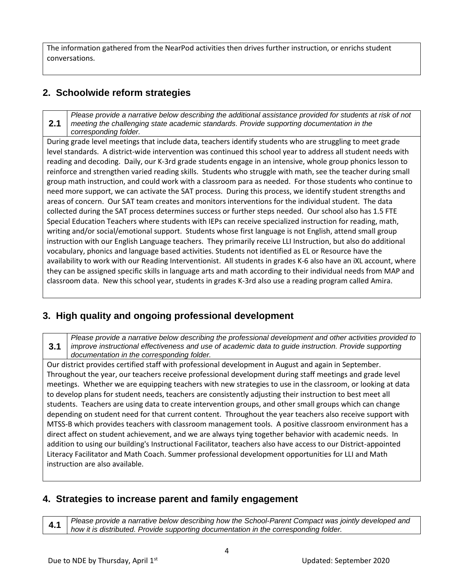The information gathered from the NearPod activities then drives further instruction, or enrichs student conversations.

### **2. Schoolwide reform strategies**

**2.1** *Please provide a narrative below describing the additional assistance provided for students at risk of not meeting the challenging state academic standards. Provide supporting documentation in the corresponding folder.*

During grade level meetings that include data, teachers identify students who are struggling to meet grade level standards. A district-wide intervention was continued this school year to address all student needs with reading and decoding. Daily, our K-3rd grade students engage in an intensive, whole group phonics lesson to reinforce and strengthen varied reading skills. Students who struggle with math, see the teacher during small group math instruction, and could work with a classroom para as needed. For those students who continue to need more support, we can activate the SAT process. During this process, we identify student strengths and areas of concern. Our SAT team creates and monitors interventions for the individual student. The data collected during the SAT process determines success or further steps needed. Our school also has 1.5 FTE Special Education Teachers where students with IEPs can receive specialized instruction for reading, math, writing and/or social/emotional support. Students whose first language is not English, attend small group instruction with our English Language teachers. They primarily receive LLI Instruction, but also do additional vocabulary, phonics and language based activities. Students not identified as EL or Resource have the availability to work with our Reading Interventionist. All students in grades K-6 also have an iXL account, where they can be assigned specific skills in language arts and math according to their individual needs from MAP and classroom data. New this school year, students in grades K-3rd also use a reading program called Amira.

#### **3. High quality and ongoing professional development**

**3.1** *Please provide a narrative below describing the professional development and other activities provided to improve instructional effectiveness and use of academic data to guide instruction. Provide supporting documentation in the corresponding folder.*

Our district provides certified staff with professional development in August and again in September. Throughout the year, our teachers receive professional development during staff meetings and grade level meetings. Whether we are equipping teachers with new strategies to use in the classroom, or looking at data to develop plans for student needs, teachers are consistently adjusting their instruction to best meet all students. Teachers are using data to create intervention groups, and other small groups which can change depending on student need for that current content. Throughout the year teachers also receive support with MTSS-B which provides teachers with classroom management tools. A positive classroom environment has a direct affect on student achievement, and we are always tying together behavior with academic needs. In addition to using our building's Instructional Facilitator, teachers also have access to our District-appointed Literacy Facilitator and Math Coach. Summer professional development opportunities for LLI and Math instruction are also available.

#### **4. Strategies to increase parent and family engagement**

**4.1** *Please provide a narrative below describing how the School-Parent Compact was jointly developed and how it is distributed. Provide supporting documentation in the corresponding folder.*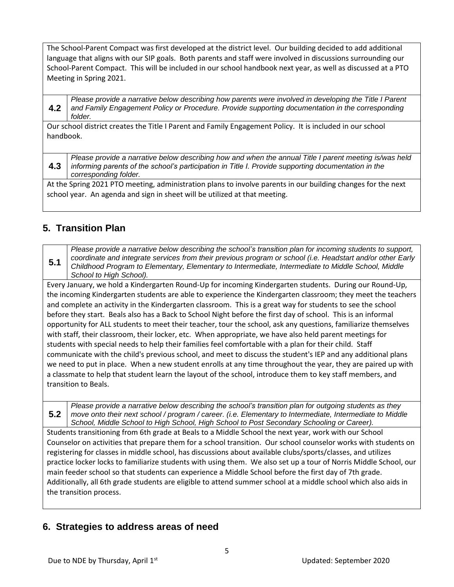The School-Parent Compact was first developed at the district level. Our building decided to add additional language that aligns with our SIP goals. Both parents and staff were involved in discussions surrounding our School-Parent Compact. This will be included in our school handbook next year, as well as discussed at a PTO Meeting in Spring 2021.

**4.2** *Please provide a narrative below describing how parents were involved in developing the Title I Parent and Family Engagement Policy or Procedure. Provide supporting documentation in the corresponding folder.*

Our school district creates the Title I Parent and Family Engagement Policy. It is included in our school handbook.

**4.3** *Please provide a narrative below describing how and when the annual Title I parent meeting is/was held informing parents of the school's participation in Title I. Provide supporting documentation in the corresponding folder.*

At the Spring 2021 PTO meeting, administration plans to involve parents in our building changes for the next school year. An agenda and sign in sheet will be utilized at that meeting.

#### **5. Transition Plan**

**5.1** *Please provide a narrative below describing the school's transition plan for incoming students to support, coordinate and integrate services from their previous program or school (i.e. Headstart and/or other Early Childhood Program to Elementary, Elementary to Intermediate, Intermediate to Middle School, Middle School to High School).*

Every January, we hold a Kindergarten Round-Up for incoming Kindergarten students. During our Round-Up, the incoming Kindergarten students are able to experience the Kindergarten classroom; they meet the teachers and complete an activity in the Kindergarten classroom. This is a great way for students to see the school before they start. Beals also has a Back to School Night before the first day of school. This is an informal opportunity for ALL students to meet their teacher, tour the school, ask any questions, familiarize themselves with staff, their classroom, their locker, etc. When appropriate, we have also held parent meetings for students with special needs to help their families feel comfortable with a plan for their child. Staff communicate with the child's previous school, and meet to discuss the student's IEP and any additional plans we need to put in place. When a new student enrolls at any time throughout the year, they are paired up with a classmate to help that student learn the layout of the school, introduce them to key staff members, and transition to Beals.

**5.2** *Please provide a narrative below describing the school's transition plan for outgoing students as they move onto their next school / program / career. (i.e. Elementary to Intermediate, Intermediate to Middle School, Middle School to High School, High School to Post Secondary Schooling or Career).*

Students transitioning from 6th grade at Beals to a Middle School the next year, work with our School Counselor on activities that prepare them for a school transition. Our school counselor works with students on registering for classes in middle school, has discussions about available clubs/sports/classes, and utilizes practice locker locks to familiarize students with using them. We also set up a tour of Norris Middle School, our main feeder school so that students can experience a Middle School before the first day of 7th grade. Additionally, all 6th grade students are eligible to attend summer school at a middle school which also aids in the transition process.

#### **6. Strategies to address areas of need**